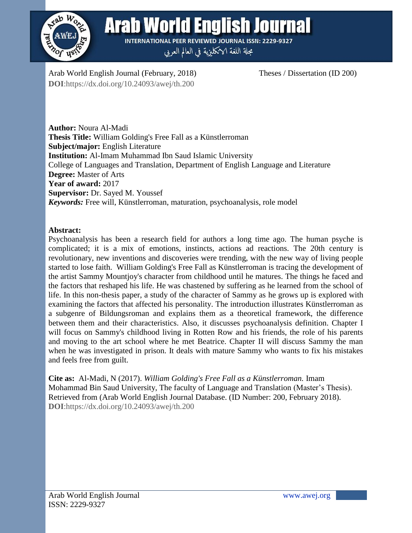

**Arab World English Journal** 

**INTERNATIONAL PEER REVIEWED JOURNAL ISSN: 2229-9327** مجلة اللغة الانكليزية في العالم العربي

Arab World English Journal (February, 2018) Theses / Dissertation (ID 200) **DOI**:https://dx.doi.org/10.24093/awej/th.200

**Author:** Noura Al-Madi **Thesis Title:** William Golding's Free Fall as a Künstlerroman **Subject/major:** English Literature **Institution:** Al-Imam Muhammad Ibn Saud Islamic University College of Languages and Translation, Department of English Language and Literature **Degree:** Master of Arts **Year of award:** 2017 **Supervisor:** Dr. Sayed M. Youssef *Keywords:* Free will, Künstlerroman, maturation, psychoanalysis, role model

## **Abstract:**

Psychoanalysis has been a research field for authors a long time ago. The human psyche is complicated; it is a mix of emotions, instincts, actions ad reactions. The 20th century is revolutionary, new inventions and discoveries were trending, with the new way of living people started to lose faith. William Golding's Free Fall as Künstlerroman is tracing the development of the artist Sammy Mountjoy's character from childhood until he matures. The things he faced and the factors that reshaped his life. He was chastened by suffering as he learned from the school of life. In this non-thesis paper, a study of the character of Sammy as he grows up is explored with examining the factors that affected his personality. The introduction illustrates Künstlerroman as a subgenre of Bildungsroman and explains them as a theoretical framework, the difference between them and their characteristics. Also, it discusses psychoanalysis definition. Chapter I will focus on Sammy's childhood living in Rotten Row and his friends, the role of his parents and moving to the art school where he met Beatrice. Chapter II will discuss Sammy the man when he was investigated in prison. It deals with mature Sammy who wants to fix his mistakes and feels free from guilt.

**Cite as:** Al-Madi, N (2017). *William Golding's Free Fall as a Künstlerroman.* Imam Mohammad Bin Saud University, The faculty of Language and Translation (Master's Thesis). Retrieved from (Arab World English Journal Database. (ID Number: 200, February 2018). **DOI**:https://dx.doi.org/10.24093/awej/th.200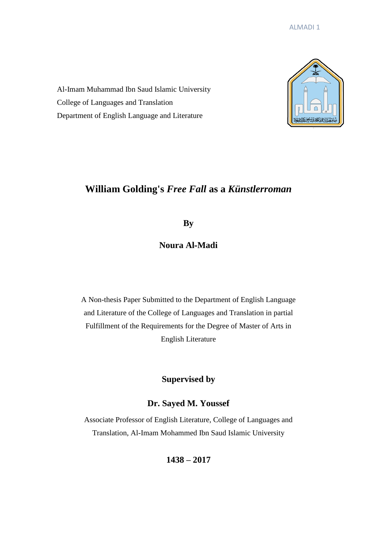Al-Imam Muhammad Ibn Saud Islamic University College of Languages and Translation Department of English Language and Literature



# **William Golding's** *Free Fall* **as a** *Künstlerroman*

**By**

**Noura Al-Madi**

A Non-thesis Paper Submitted to the Department of English Language and Literature of the College of Languages and Translation in partial Fulfillment of the Requirements for the Degree of Master of Arts in English Literature

**Supervised by**

# **Dr. Sayed M. Youssef**

Associate Professor of English Literature, College of Languages and Translation, Al-Imam Mohammed Ibn Saud Islamic University

**1438 – 2017**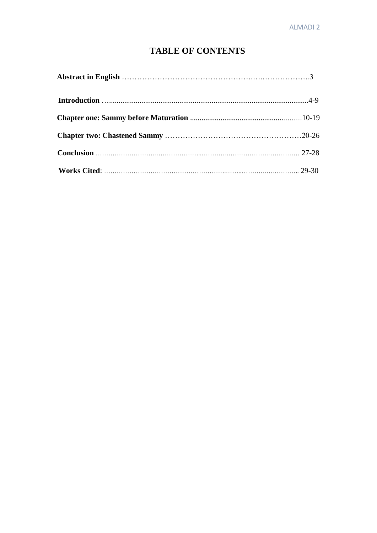# **TABLE OF CONTENTS**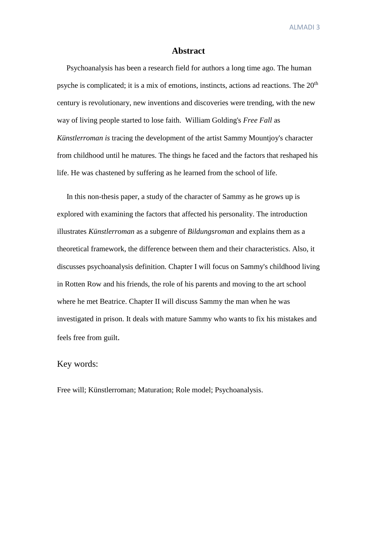#### **Abstract**

 Psychoanalysis has been a research field for authors a long time ago. The human psyche is complicated; it is a mix of emotions, instincts, actions ad reactions. The 20<sup>th</sup> century is revolutionary, new inventions and discoveries were trending, with the new way of living people started to lose faith. William Golding's *Free Fall* as *Künstlerroman is* tracing the development of the artist Sammy Mountjoy's character from childhood until he matures. The things he faced and the factors that reshaped his life. He was chastened by suffering as he learned from the school of life.

 In this non-thesis paper, a study of the character of Sammy as he grows up is explored with examining the factors that affected his personality. The introduction illustrates *Künstlerroman* as a subgenre of *Bildungsroman* and explains them as a theoretical framework, the difference between them and their characteristics. Also, it discusses psychoanalysis definition. Chapter I will focus on Sammy's childhood living in Rotten Row and his friends, the role of his parents and moving to the art school where he met Beatrice. Chapter II will discuss Sammy the man when he was investigated in prison. It deals with mature Sammy who wants to fix his mistakes and feels free from guilt.

#### Key words:

Free will; Künstlerroman; Maturation; Role model; Psychoanalysis.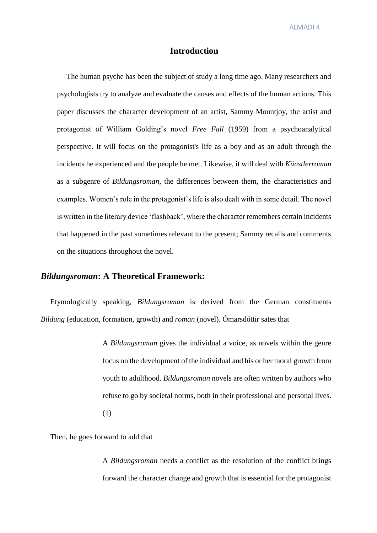#### **Introduction**

 The human psyche has been the subject of study a long time ago. Many researchers and psychologists try to analyze and evaluate the causes and effects of the human actions. This paper discusses the character development of an artist, Sammy Mountjoy, the artist and protagonist of William Golding's novel *Free Fall* (1959) from a psychoanalytical perspective. It will focus on the protagonist's life as a boy and as an adult through the incidents he experienced and the people he met. Likewise, it will deal with *Künstlerroman* as a subgenre of *Bildungsroman*, the differences between them, the characteristics and examples. Women's role in the protagonist's life is also dealt with in some detail. The novel is written in the literary device 'flashback', where the character remembers certain incidents that happened in the past sometimes relevant to the present; Sammy recalls and comments on the situations throughout the novel.

### *Bildungsroman***: A Theoretical Framework:**

 Etymologically speaking, *Bildungsroman* is derived from the German constituents *Bildung* (education, formation, growth) and *roman* (novel). Ómarsdóttir sates that

> A *Bildungsroman* gives the individual a voice, as novels within the genre focus on the development of the individual and his or her moral growth from youth to adulthood. *Bildungsroman* novels are often written by authors who refuse to go by societal norms, both in their professional and personal lives. (1)

Then, he goes forward to add that

A *Bildungsroman* needs a conflict as the resolution of the conflict brings forward the character change and growth that is essential for the protagonist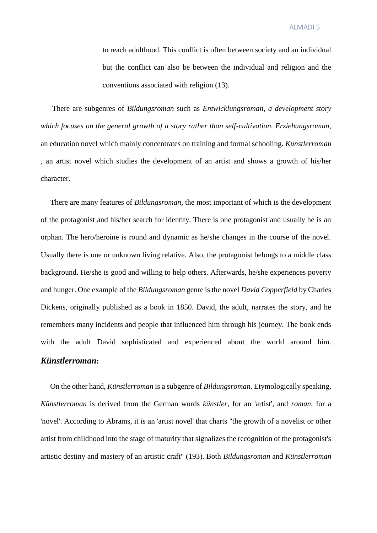to reach adulthood. This conflict is often between society and an individual but the conflict can also be between the individual and religion and the conventions associated with religion (13).

 There are subgenres of *Bildungsroman* such as *Entwicklungsroman, a development story which focuses on the general growth of a story rather than self-cultivation. Erziehungsroman*, an education novel which mainly concentrates on training and formal schooling. *Kunstlerroman* , an artist novel which studies the development of an artist and shows a growth of his/her character.

 There are many features of *Bildungsroman*, the most important of which is the development of the protagonist and his/her search for identity. There is one protagonist and usually he is an orphan. The hero/heroine is round and dynamic as he/she changes in the course of the novel. Usually there is one or unknown living relative. Also, the protagonist belongs to a middle class background. He/she is good and willing to help others. Afterwards, he/she experiences poverty and hunger. One example of the *Bildungsroman* genre is the novel *David Copperfield* by Charles Dickens, originally published as a book in 1850. David, the adult, narrates the story, and he remembers many incidents and people that influenced him through his journey. The book ends with the adult David sophisticated and experienced about the world around him. *Künstlerroman***:**

 On the other hand, *Künstlerroman* is a subgenre of *Bildungsroman*. Etymologically speaking, *Künstlerroman* is derived from the German words *künstler*, for an 'artist', and *roman*, for a 'novel'. According to Abrams, it is an 'artist novel' that charts "the growth of a novelist or other artist from childhood into the stage of maturity that signalizes the recognition of the protagonist's artistic destiny and mastery of an artistic craft" (193). Both *Bildungsroman* and *Künstlerroman*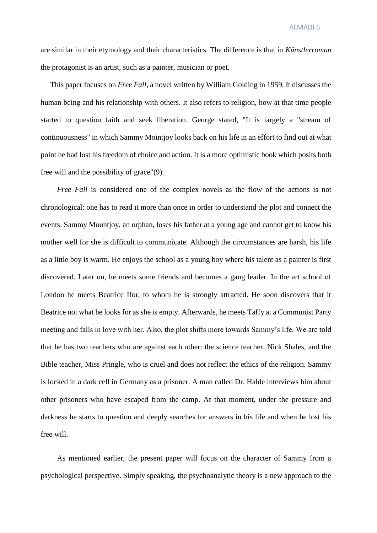are similar in their etymology and their characteristics. The difference is that in *Künstlerroman* the protagonist is an artist, such as a painter, musician or poet.

 This paper focuses on *Free Fall*, a novel written by William Golding in 1959. It discusses the human being and his relationship with others. It also refers to religion, how at that time people started to question faith and seek liberation. George stated, "It is largely a "stream of continuousness" in which Sammy Mointjoy looks back on his life in an effort to find out at what point he had lost his freedom of choice and action. It is a more optimistic book which posits both free will and the possibility of grace"(9).

*Free Fall* is considered one of the complex novels as the flow of the actions is not chronological: one has to read it more than once in order to understand the plot and connect the events. Sammy Mountjoy, an orphan, loses his father at a young age and cannot get to know his mother well for she is difficult to communicate. Although the circumstances are harsh, his life as a little boy is warm. He enjoys the school as a young boy where his talent as a painter is first discovered. Later on, he meets some friends and becomes a gang leader. In the art school of London he meets Beatrice Ifor, to whom he is strongly attracted. He soon discovers that it Beatrice not what he looks for as she is empty. Afterwards, he meets Taffy at a Communist Party meeting and falls in love with her. Also, the plot shifts more towards Sammy's life. We are told that he has two teachers who are against each other: the science teacher, Nick Shales, and the Bible teacher, Miss Pringle, who is cruel and does not reflect the ethics of the religion. Sammy is locked in a dark cell in Germany as a prisoner. A man called Dr. Halde interviews him about other prisoners who have escaped from the camp. At that moment, under the pressure and darkness he starts to question and deeply searches for answers in his life and when he lost his free will.

As mentioned earlier, the present paper will focus on the character of Sammy from a psychological perspective. Simply speaking, the psychoanalytic theory is a new approach to the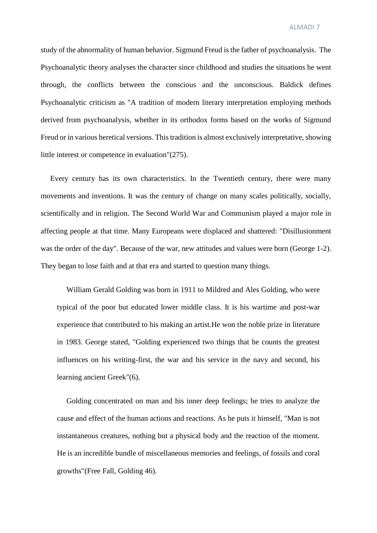study of the abnormality of human behavior. Sigmund Freud is the father of psychoanalysis. The Psychoanalytic theory analyses the character since childhood and studies the situations he went through, the conflicts between the conscious and the unconscious. Baldick defines Psychoanalytic criticism as "A tradition of modern literary interpretation employing methods derived from psychoanalysis, whether in its orthodox forms based on the works of Sigmund Freud or in various heretical versions. This tradition is almost exclusively interpretative, showing little interest or competence in evaluation"(275).

 Every century has its own characteristics. In the Twentieth century, there were many movements and inventions. It was the century of change on many scales politically, socially, scientifically and in religion. The Second World War and Communism played a major role in affecting people at that time. Many Europeans were displaced and shattered: "Disillusionment was the order of the day". Because of the war, new attitudes and values were born (George 1-2). They began to lose faith and at that era and started to question many things.

 William Gerald Golding was born in 1911 to Mildred and Ales Golding, who were typical of the poor but educated lower middle class. It is his wartime and post-war experience that contributed to his making an artist.He won the noble prize in literature in 1983. George stated, "Golding experienced two things that he counts the greatest influences on his writing-first, the war and his service in the navy and second, his learning ancient Greek"(6).

 Golding concentrated on man and his inner deep feelings; he tries to analyze the cause and effect of the human actions and reactions. As he puts it himself, "Man is not instantaneous creatures, nothing but a physical body and the reaction of the moment. He is an incredible bundle of miscellaneous memories and feelings, of fossils and coral growths"(Free Fall, Golding 46).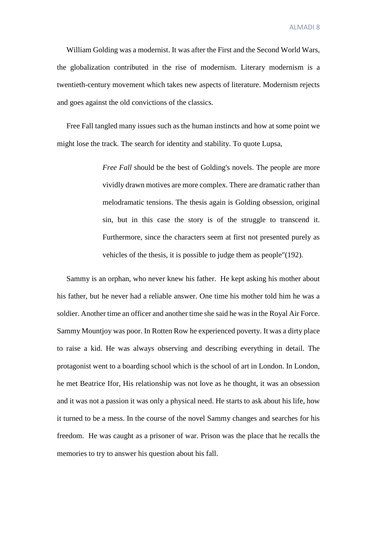William Golding was a modernist. It was after the First and the Second World Wars, the globalization contributed in the rise of modernism. Literary modernism is a twentieth-century movement which takes new aspects of literature. Modernism rejects and goes against the old convictions of the classics.

 Free Fall tangled many issues such as the human instincts and how at some point we might lose the track. The search for identity and stability. To quote Lupsa,

> *Free Fall* should be the best of Golding's novels. The people are more vividly drawn motives are more complex. There are dramatic rather than melodramatic tensions. The thesis again is Golding obsession, original sin, but in this case the story is of the struggle to transcend it. Furthermore, since the characters seem at first not presented purely as vehicles of the thesis, it is possible to judge them as people"(192).

 Sammy is an orphan, who never knew his father. He kept asking his mother about his father, but he never had a reliable answer. One time his mother told him he was a soldier. Another time an officer and another time she said he was in the Royal Air Force. Sammy Mountjoy was poor. In Rotten Row he experienced poverty. It was a dirty place to raise a kid. He was always observing and describing everything in detail. The protagonist went to a boarding school which is the school of art in London. In London, he met Beatrice Ifor, His relationship was not love as he thought, it was an obsession and it was not a passion it was only a physical need. He starts to ask about his life, how it turned to be a mess. In the course of the novel Sammy changes and searches for his freedom. He was caught as a prisoner of war. Prison was the place that he recalls the memories to try to answer his question about his fall.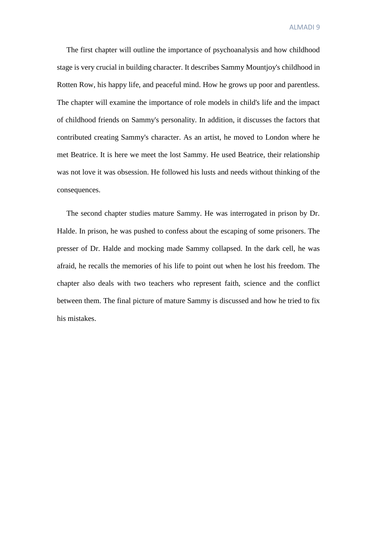The first chapter will outline the importance of psychoanalysis and how childhood stage is very crucial in building character. It describes Sammy Mountjoy's childhood in Rotten Row, his happy life, and peaceful mind. How he grows up poor and parentless. The chapter will examine the importance of role models in child's life and the impact of childhood friends on Sammy's personality. In addition, it discusses the factors that contributed creating Sammy's character. As an artist, he moved to London where he met Beatrice. It is here we meet the lost Sammy. He used Beatrice, their relationship was not love it was obsession. He followed his lusts and needs without thinking of the consequences.

 The second chapter studies mature Sammy. He was interrogated in prison by Dr. Halde. In prison, he was pushed to confess about the escaping of some prisoners. The presser of Dr. Halde and mocking made Sammy collapsed. In the dark cell, he was afraid, he recalls the memories of his life to point out when he lost his freedom. The chapter also deals with two teachers who represent faith, science and the conflict between them. The final picture of mature Sammy is discussed and how he tried to fix his mistakes.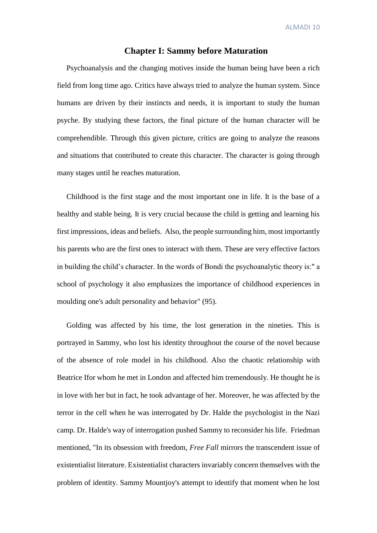#### **Chapter I: Sammy before Maturation**

 Psychoanalysis and the changing motives inside the human being have been a rich field from long time ago. Critics have always tried to analyze the human system. Since humans are driven by their instincts and needs, it is important to study the human psyche. By studying these factors, the final picture of the human character will be comprehendible. Through this given picture, critics are going to analyze the reasons and situations that contributed to create this character. The character is going through many stages until he reaches maturation.

 Childhood is the first stage and the most important one in life. It is the base of a healthy and stable being. It is very crucial because the child is getting and learning his first impressions, ideas and beliefs. Also, the people surrounding him, most importantly his parents who are the first ones to interact with them. These are very effective factors in building the child's character. In the words of Bondi the psychoanalytic theory is:" a school of psychology it also emphasizes the importance of childhood experiences in moulding one's adult personality and behavior" (95).

 Golding was affected by his time, the lost generation in the nineties. This is portrayed in Sammy, who lost his identity throughout the course of the novel because of the absence of role model in his childhood. Also the chaotic relationship with Beatrice Ifor whom he met in London and affected him tremendously. He thought he is in love with her but in fact, he took advantage of her. Moreover, he was affected by the terror in the cell when he was interrogated by Dr. Halde the psychologist in the Nazi camp. Dr. Halde's way of interrogation pushed Sammy to reconsider his life. Friedman mentioned, "In its obsession with freedom, *Free Fall* mirrors the transcendent issue of existentialist literature. Existentialist characters invariably concern themselves with the problem of identity. Sammy Mountjoy's attempt to identify that moment when he lost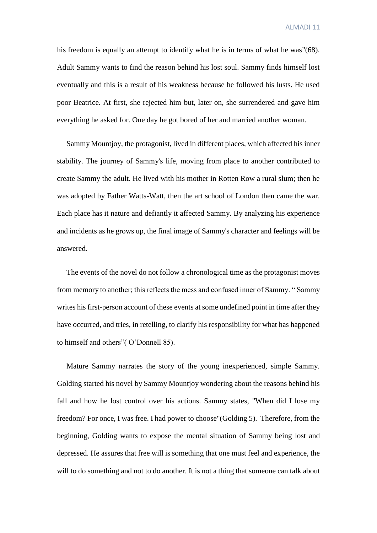his freedom is equally an attempt to identify what he is in terms of what he was"(68). Adult Sammy wants to find the reason behind his lost soul. Sammy finds himself lost eventually and this is a result of his weakness because he followed his lusts. He used poor Beatrice. At first, she rejected him but, later on, she surrendered and gave him everything he asked for. One day he got bored of her and married another woman.

 Sammy Mountjoy, the protagonist, lived in different places, which affected his inner stability. The journey of Sammy's life, moving from place to another contributed to create Sammy the adult. He lived with his mother in Rotten Row a rural slum; then he was adopted by Father Watts-Watt, then the art school of London then came the war. Each place has it nature and defiantly it affected Sammy. By analyzing his experience and incidents as he grows up, the final image of Sammy's character and feelings will be answered.

 The events of the novel do not follow a chronological time as the protagonist moves from memory to another; this reflects the mess and confused inner of Sammy. " Sammy writes his first-person account of these events at some undefined point in time after they have occurred, and tries, in retelling, to clarify his responsibility for what has happened to himself and others"( O'Donnell 85).

 Mature Sammy narrates the story of the young inexperienced, simple Sammy. Golding started his novel by Sammy Mountjoy wondering about the reasons behind his fall and how he lost control over his actions. Sammy states, "When did I lose my freedom? For once, I was free. I had power to choose"(Golding 5). Therefore, from the beginning, Golding wants to expose the mental situation of Sammy being lost and depressed. He assures that free will is something that one must feel and experience, the will to do something and not to do another. It is not a thing that someone can talk about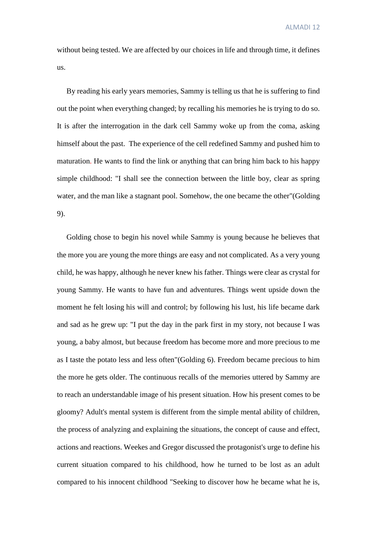without being tested. We are affected by our choices in life and through time, it defines us.

 By reading his early years memories, Sammy is telling us that he is suffering to find out the point when everything changed; by recalling his memories he is trying to do so. It is after the interrogation in the dark cell Sammy woke up from the coma, asking himself about the past. The experience of the cell redefined Sammy and pushed him to maturation. He wants to find the link or anything that can bring him back to his happy simple childhood: "I shall see the connection between the little boy, clear as spring water, and the man like a stagnant pool. Somehow, the one became the other"(Golding 9).

 Golding chose to begin his novel while Sammy is young because he believes that the more you are young the more things are easy and not complicated. As a very young child, he was happy, although he never knew his father. Things were clear as crystal for young Sammy. He wants to have fun and adventures. Things went upside down the moment he felt losing his will and control; by following his lust, his life became dark and sad as he grew up: "I put the day in the park first in my story, not because I was young, a baby almost, but because freedom has become more and more precious to me as I taste the potato less and less often"(Golding 6). Freedom became precious to him the more he gets older. The continuous recalls of the memories uttered by Sammy are to reach an understandable image of his present situation. How his present comes to be gloomy? Adult's mental system is different from the simple mental ability of children, the process of analyzing and explaining the situations, the concept of cause and effect, actions and reactions. Weekes and Gregor discussed the protagonist's urge to define his current situation compared to his childhood, how he turned to be lost as an adult compared to his innocent childhood "Seeking to discover how he became what he is,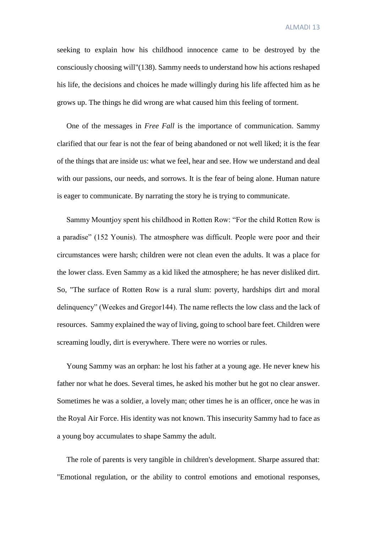seeking to explain how his childhood innocence came to be destroyed by the consciously choosing will"(138). Sammy needs to understand how his actions reshaped his life, the decisions and choices he made willingly during his life affected him as he grows up. The things he did wrong are what caused him this feeling of torment.

 One of the messages in *Free Fall* is the importance of communication. Sammy clarified that our fear is not the fear of being abandoned or not well liked; it is the fear of the things that are inside us: what we feel, hear and see. How we understand and deal with our passions, our needs, and sorrows. It is the fear of being alone. Human nature is eager to communicate. By narrating the story he is trying to communicate.

 Sammy Mountjoy spent his childhood in Rotten Row: "For the child Rotten Row is a paradise" (152 Younis). The atmosphere was difficult. People were poor and their circumstances were harsh; children were not clean even the adults. It was a place for the lower class. Even Sammy as a kid liked the atmosphere; he has never disliked dirt. So, "The surface of Rotten Row is a rural slum: poverty, hardships dirt and moral delinquency" (Weekes and Gregor144). The name reflects the low class and the lack of resources. Sammy explained the way of living, going to school bare feet. Children were screaming loudly, dirt is everywhere. There were no worries or rules.

 Young Sammy was an orphan: he lost his father at a young age. He never knew his father nor what he does. Several times, he asked his mother but he got no clear answer. Sometimes he was a soldier, a lovely man; other times he is an officer, once he was in the Royal Air Force. His identity was not known. This insecurity Sammy had to face as a young boy accumulates to shape Sammy the adult.

 The role of parents is very tangible in children's development. Sharpe assured that: "Emotional regulation, or the ability to control emotions and emotional responses,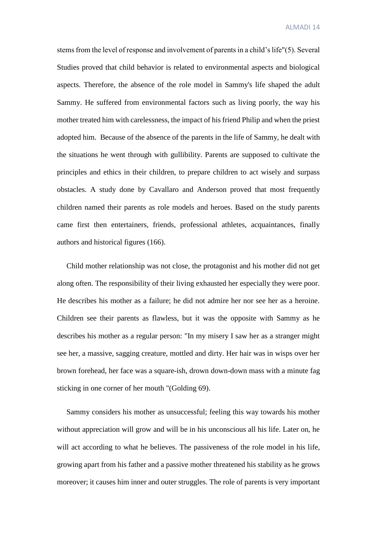stems from the level of response and involvement of parents in a child's life"(5). Several Studies proved that child behavior is related to environmental aspects and biological aspects. Therefore, the absence of the role model in Sammy's life shaped the adult Sammy. He suffered from environmental factors such as living poorly, the way his mother treated him with carelessness, the impact of his friend Philip and when the priest adopted him. Because of the absence of the parents in the life of Sammy, he dealt with the situations he went through with gullibility. Parents are supposed to cultivate the principles and ethics in their children, to prepare children to act wisely and surpass obstacles. A study done by Cavallaro and Anderson proved that most frequently children named their parents as role models and heroes. Based on the study parents came first then entertainers, friends, professional athletes, acquaintances, finally authors and historical figures (166).

 Child mother relationship was not close, the protagonist and his mother did not get along often. The responsibility of their living exhausted her especially they were poor. He describes his mother as a failure; he did not admire her nor see her as a heroine. Children see their parents as flawless, but it was the opposite with Sammy as he describes his mother as a regular person: "In my misery I saw her as a stranger might see her, a massive, sagging creature, mottled and dirty. Her hair was in wisps over her brown forehead, her face was a square-ish, drown down-down mass with a minute fag sticking in one corner of her mouth "(Golding 69).

 Sammy considers his mother as unsuccessful; feeling this way towards his mother without appreciation will grow and will be in his unconscious all his life. Later on, he will act according to what he believes. The passiveness of the role model in his life, growing apart from his father and a passive mother threatened his stability as he grows moreover; it causes him inner and outer struggles. The role of parents is very important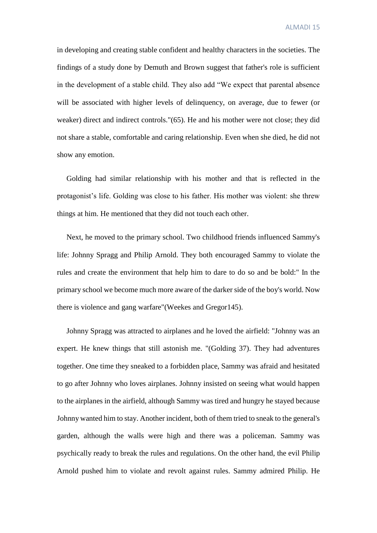in developing and creating stable confident and healthy characters in the societies. The findings of a study done by Demuth and Brown suggest that father's role is sufficient in the development of a stable child. They also add "We expect that parental absence will be associated with higher levels of delinquency, on average, due to fewer (or weaker) direct and indirect controls."(65). He and his mother were not close; they did not share a stable, comfortable and caring relationship. Even when she died, he did not show any emotion.

 Golding had similar relationship with his mother and that is reflected in the protagonist's life. Golding was close to his father. His mother was violent: she threw things at him. He mentioned that they did not touch each other.

 Next, he moved to the primary school. Two childhood friends influenced Sammy's life: Johnny Spragg and Philip Arnold. They both encouraged Sammy to violate the rules and create the environment that help him to dare to do so and be bold:" In the primary school we become much more aware of the darker side of the boy's world. Now there is violence and gang warfare"(Weekes and Gregor145).

 Johnny Spragg was attracted to airplanes and he loved the airfield: "Johnny was an expert. He knew things that still astonish me. "(Golding 37). They had adventures together. One time they sneaked to a forbidden place, Sammy was afraid and hesitated to go after Johnny who loves airplanes. Johnny insisted on seeing what would happen to the airplanes in the airfield, although Sammy was tired and hungry he stayed because Johnny wanted him to stay. Another incident, both of them tried to sneak to the general's garden, although the walls were high and there was a policeman. Sammy was psychically ready to break the rules and regulations. On the other hand, the evil Philip Arnold pushed him to violate and revolt against rules. Sammy admired Philip. He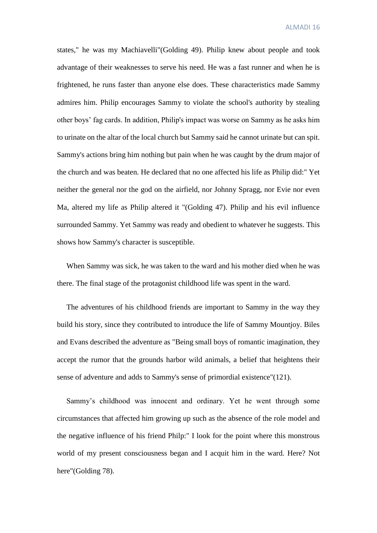states," he was my Machiavelli"(Golding 49). Philip knew about people and took advantage of their weaknesses to serve his need. He was a fast runner and when he is frightened, he runs faster than anyone else does. These characteristics made Sammy admires him. Philip encourages Sammy to violate the school's authority by stealing other boys' fag cards. In addition, Philip's impact was worse on Sammy as he asks him to urinate on the altar of the local church but Sammy said he cannot urinate but can spit. Sammy's actions bring him nothing but pain when he was caught by the drum major of the church and was beaten. He declared that no one affected his life as Philip did:" Yet neither the general nor the god on the airfield, nor Johnny Spragg, nor Evie nor even Ma, altered my life as Philip altered it "(Golding 47). Philip and his evil influence surrounded Sammy. Yet Sammy was ready and obedient to whatever he suggests. This shows how Sammy's character is susceptible.

 When Sammy was sick, he was taken to the ward and his mother died when he was there. The final stage of the protagonist childhood life was spent in the ward.

 The adventures of his childhood friends are important to Sammy in the way they build his story, since they contributed to introduce the life of Sammy Mountjoy. Biles and Evans described the adventure as "Being small boys of romantic imagination, they accept the rumor that the grounds harbor wild animals, a belief that heightens their sense of adventure and adds to Sammy's sense of primordial existence"(121).

 Sammy's childhood was innocent and ordinary. Yet he went through some circumstances that affected him growing up such as the absence of the role model and the negative influence of his friend Philp:" I look for the point where this monstrous world of my present consciousness began and I acquit him in the ward. Here? Not here"(Golding 78).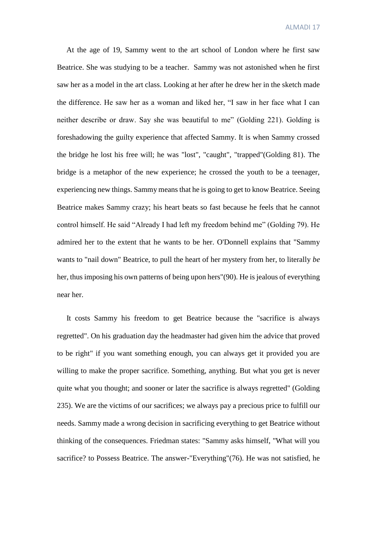At the age of 19, Sammy went to the art school of London where he first saw Beatrice. She was studying to be a teacher. Sammy was not astonished when he first saw her as a model in the art class. Looking at her after he drew her in the sketch made the difference. He saw her as a woman and liked her, "I saw in her face what I can neither describe or draw. Say she was beautiful to me" (Golding 221). Golding is foreshadowing the guilty experience that affected Sammy. It is when Sammy crossed the bridge he lost his free will; he was "lost", "caught", "trapped"(Golding 81). The bridge is a metaphor of the new experience; he crossed the youth to be a teenager, experiencing new things. Sammy means that he is going to get to know Beatrice. Seeing Beatrice makes Sammy crazy; his heart beats so fast because he feels that he cannot control himself. He said "Already I had left my freedom behind me" (Golding 79). He admired her to the extent that he wants to be her. O'Donnell explains that "Sammy wants to "nail down" Beatrice, to pull the heart of her mystery from her, to literally *be* her, thus imposing his own patterns of being upon hers"(90). He is jealous of everything near her.

 It costs Sammy his freedom to get Beatrice because the "sacrifice is always regretted". On his graduation day the headmaster had given him the advice that proved to be right" if you want something enough, you can always get it provided you are willing to make the proper sacrifice. Something, anything. But what you get is never quite what you thought; and sooner or later the sacrifice is always regretted" (Golding 235). We are the victims of our sacrifices; we always pay a precious price to fulfill our needs. Sammy made a wrong decision in sacrificing everything to get Beatrice without thinking of the consequences. Friedman states: "Sammy asks himself, "What will you sacrifice? to Possess Beatrice. The answer-"Everything"(76). He was not satisfied, he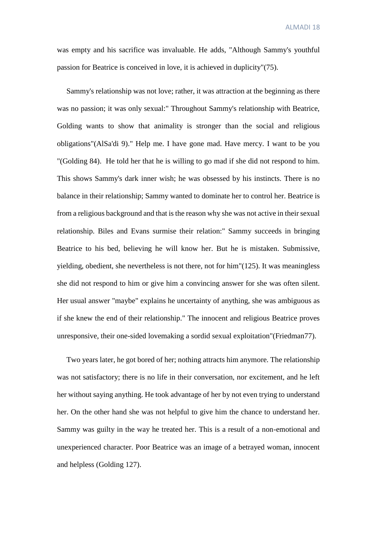was empty and his sacrifice was invaluable. He adds, "Although Sammy's youthful passion for Beatrice is conceived in love, it is achieved in duplicity"(75).

 Sammy's relationship was not love; rather, it was attraction at the beginning as there was no passion; it was only sexual:" Throughout Sammy's relationship with Beatrice, Golding wants to show that animality is stronger than the social and religious obligations"(AlSa'di 9)." Help me. I have gone mad. Have mercy. I want to be you "(Golding 84). He told her that he is willing to go mad if she did not respond to him. This shows Sammy's dark inner wish; he was obsessed by his instincts. There is no balance in their relationship; Sammy wanted to dominate her to control her. Beatrice is from a religious background and that is the reason why she was not active in their sexual relationship. Biles and Evans surmise their relation:" Sammy succeeds in bringing Beatrice to his bed, believing he will know her. But he is mistaken. Submissive, yielding, obedient, she nevertheless is not there, not for him" $(125)$ . It was meaningless she did not respond to him or give him a convincing answer for she was often silent. Her usual answer "maybe" explains he uncertainty of anything, she was ambiguous as if she knew the end of their relationship." The innocent and religious Beatrice proves unresponsive, their one-sided lovemaking a sordid sexual exploitation"(Friedman77).

 Two years later, he got bored of her; nothing attracts him anymore. The relationship was not satisfactory; there is no life in their conversation, nor excitement, and he left her without saying anything. He took advantage of her by not even trying to understand her. On the other hand she was not helpful to give him the chance to understand her. Sammy was guilty in the way he treated her. This is a result of a non-emotional and unexperienced character. Poor Beatrice was an image of a betrayed woman, innocent and helpless (Golding 127).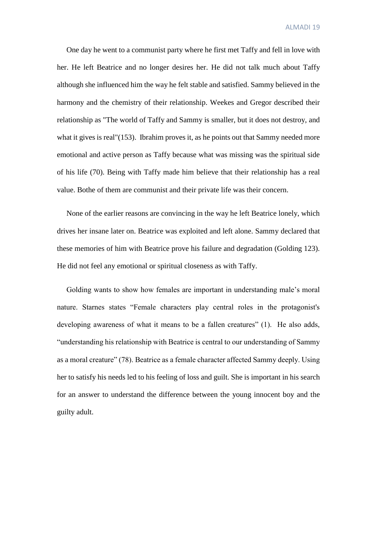One day he went to a communist party where he first met Taffy and fell in love with her. He left Beatrice and no longer desires her. He did not talk much about Taffy although she influenced him the way he felt stable and satisfied. Sammy believed in the harmony and the chemistry of their relationship. Weekes and Gregor described their relationship as "The world of Taffy and Sammy is smaller, but it does not destroy, and what it gives is real"(153). Ibrahim proves it, as he points out that Sammy needed more emotional and active person as Taffy because what was missing was the spiritual side of his life (70). Being with Taffy made him believe that their relationship has a real value. Bothe of them are communist and their private life was their concern.

 None of the earlier reasons are convincing in the way he left Beatrice lonely, which drives her insane later on. Beatrice was exploited and left alone. Sammy declared that these memories of him with Beatrice prove his failure and degradation (Golding 123). He did not feel any emotional or spiritual closeness as with Taffy.

 Golding wants to show how females are important in understanding male's moral nature. Starnes states "Female characters play central roles in the protagonist's developing awareness of what it means to be a fallen creatures" (1). He also adds, "understanding his relationship with Beatrice is central to our understanding of Sammy as a moral creature" (78). Beatrice as a female character affected Sammy deeply. Using her to satisfy his needs led to his feeling of loss and guilt. She is important in his search for an answer to understand the difference between the young innocent boy and the guilty adult.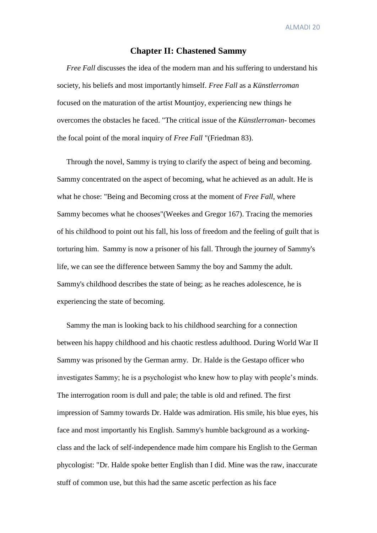#### **Chapter II: Chastened Sammy**

*Free Fall* discusses the idea of the modern man and his suffering to understand his society, his beliefs and most importantly himself. *Free Fall* as a *Künstlerroman*  focused on the maturation of the artist Mountjoy, experiencing new things he overcomes the obstacles he faced. "The critical issue of the *Künstlerroman-* becomes the focal point of the moral inquiry of *Free Fall* "(Friedman 83).

 Through the novel, Sammy is trying to clarify the aspect of being and becoming. Sammy concentrated on the aspect of becoming, what he achieved as an adult. He is what he chose: "Being and Becoming cross at the moment of *Free Fall*, where Sammy becomes what he chooses"(Weekes and Gregor 167). Tracing the memories of his childhood to point out his fall, his loss of freedom and the feeling of guilt that is torturing him. Sammy is now a prisoner of his fall. Through the journey of Sammy's life, we can see the difference between Sammy the boy and Sammy the adult. Sammy's childhood describes the state of being; as he reaches adolescence, he is experiencing the state of becoming.

 Sammy the man is looking back to his childhood searching for a connection between his happy childhood and his chaotic restless adulthood. During World War II Sammy was prisoned by the German army. Dr. Halde is the Gestapo officer who investigates Sammy; he is a psychologist who knew how to play with people's minds. The interrogation room is dull and pale; the table is old and refined. The first impression of Sammy towards Dr. Halde was admiration. His smile, his blue eyes, his face and most importantly his English. Sammy's humble background as a workingclass and the lack of self-independence made him compare his English to the German phycologist: "Dr. Halde spoke better English than I did. Mine was the raw, inaccurate stuff of common use, but this had the same ascetic perfection as his face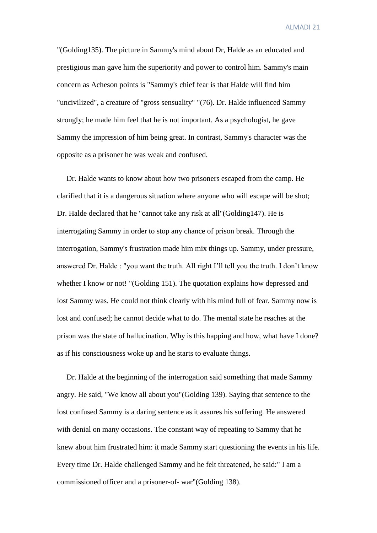"(Golding135). The picture in Sammy's mind about Dr, Halde as an educated and prestigious man gave him the superiority and power to control him. Sammy's main concern as Acheson points is "Sammy's chief fear is that Halde will find him "uncivilized", a creature of "gross sensuality" "(76). Dr. Halde influenced Sammy strongly; he made him feel that he is not important. As a psychologist, he gave Sammy the impression of him being great. In contrast, Sammy's character was the opposite as a prisoner he was weak and confused.

 Dr. Halde wants to know about how two prisoners escaped from the camp. He clarified that it is a dangerous situation where anyone who will escape will be shot; Dr. Halde declared that he "cannot take any risk at all"(Golding147). He is interrogating Sammy in order to stop any chance of prison break. Through the interrogation, Sammy's frustration made him mix things up. Sammy, under pressure, answered Dr. Halde : "you want the truth. All right I'll tell you the truth. I don't know whether I know or not! "(Golding 151). The quotation explains how depressed and lost Sammy was. He could not think clearly with his mind full of fear. Sammy now is lost and confused; he cannot decide what to do. The mental state he reaches at the prison was the state of hallucination. Why is this happing and how, what have I done? as if his consciousness woke up and he starts to evaluate things.

 Dr. Halde at the beginning of the interrogation said something that made Sammy angry. He said, "We know all about you"(Golding 139). Saying that sentence to the lost confused Sammy is a daring sentence as it assures his suffering. He answered with denial on many occasions. The constant way of repeating to Sammy that he knew about him frustrated him: it made Sammy start questioning the events in his life. Every time Dr. Halde challenged Sammy and he felt threatened, he said:" I am a commissioned officer and a prisoner-of- war"(Golding 138).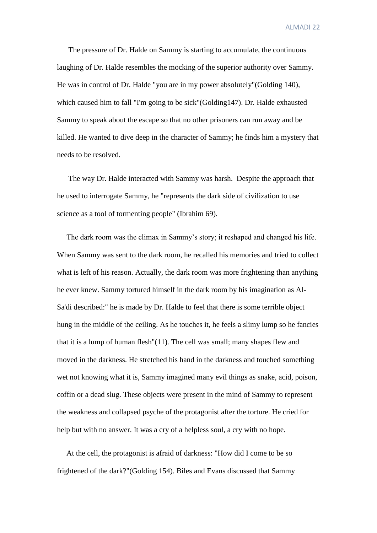The pressure of Dr. Halde on Sammy is starting to accumulate, the continuous laughing of Dr. Halde resembles the mocking of the superior authority over Sammy. He was in control of Dr. Halde "you are in my power absolutely"(Golding 140), which caused him to fall "I'm going to be sick"(Golding147). Dr. Halde exhausted Sammy to speak about the escape so that no other prisoners can run away and be killed. He wanted to dive deep in the character of Sammy; he finds him a mystery that needs to be resolved.

 The way Dr. Halde interacted with Sammy was harsh. Despite the approach that he used to interrogate Sammy, he "represents the dark side of civilization to use science as a tool of tormenting people" (Ibrahim 69).

 The dark room was the climax in Sammy's story; it reshaped and changed his life. When Sammy was sent to the dark room, he recalled his memories and tried to collect what is left of his reason. Actually, the dark room was more frightening than anything he ever knew. Sammy tortured himself in the dark room by his imagination as Al-Sa'di described:" he is made by Dr. Halde to feel that there is some terrible object hung in the middle of the ceiling. As he touches it, he feels a slimy lump so he fancies that it is a lump of human flesh"(11). The cell was small; many shapes flew and moved in the darkness. He stretched his hand in the darkness and touched something wet not knowing what it is, Sammy imagined many evil things as snake, acid, poison, coffin or a dead slug. These objects were present in the mind of Sammy to represent the weakness and collapsed psyche of the protagonist after the torture. He cried for help but with no answer. It was a cry of a helpless soul, a cry with no hope.

 At the cell, the protagonist is afraid of darkness: "How did I come to be so frightened of the dark?"(Golding 154). Biles and Evans discussed that Sammy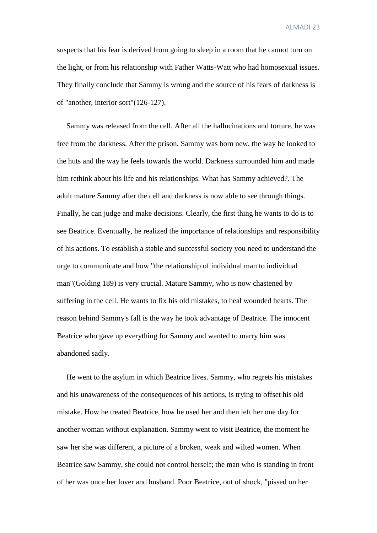suspects that his fear is derived from going to sleep in a room that he cannot turn on the light, or from his relationship with Father Watts-Watt who had homosexual issues. They finally conclude that Sammy is wrong and the source of his fears of darkness is of "another, interior sort"(126-127).

 Sammy was released from the cell. After all the hallucinations and torture, he was free from the darkness. After the prison, Sammy was born new, the way he looked to the huts and the way he feels towards the world. Darkness surrounded him and made him rethink about his life and his relationships. What has Sammy achieved?. The adult mature Sammy after the cell and darkness is now able to see through things. Finally, he can judge and make decisions. Clearly, the first thing he wants to do is to see Beatrice. Eventually, he realized the importance of relationships and responsibility of his actions. To establish a stable and successful society you need to understand the urge to communicate and how "the relationship of individual man to individual man"(Golding 189) is very crucial. Mature Sammy, who is now chastened by suffering in the cell. He wants to fix his old mistakes, to heal wounded hearts. The reason behind Sammy's fall is the way he took advantage of Beatrice. The innocent Beatrice who gave up everything for Sammy and wanted to marry him was abandoned sadly.

 He went to the asylum in which Beatrice lives. Sammy, who regrets his mistakes and his unawareness of the consequences of his actions, is trying to offset his old mistake. How he treated Beatrice, how he used her and then left her one day for another woman without explanation. Sammy went to visit Beatrice, the moment he saw her she was different, a picture of a broken, weak and wilted women. When Beatrice saw Sammy, she could not control herself; the man who is standing in front of her was once her lover and husband. Poor Beatrice, out of shock, "pissed on her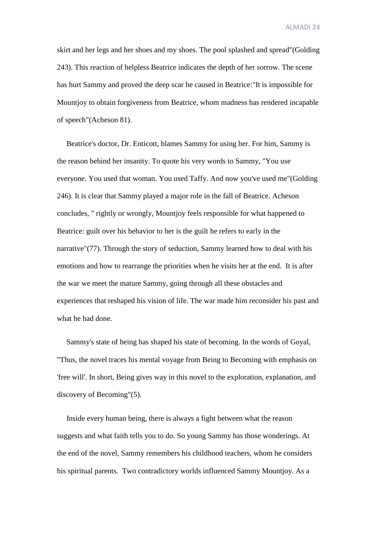skirt and her legs and her shoes and my shoes. The pool splashed and spread"(Golding 243). This reaction of helpless Beatrice indicates the depth of her sorrow. The scene has hurt Sammy and proved the deep scar he caused in Beatrice:"It is impossible for Mountjoy to obtain forgiveness from Beatrice, whom madness has rendered incapable of speech"(Acheson 81).

 Beatrice's doctor, Dr. Enticott, blames Sammy for using her. For him, Sammy is the reason behind her insanity. To quote his very words to Sammy, "You use everyone. You used that woman. You used Taffy. And now you've used me"(Golding 246). It is clear that Sammy played a major role in the fall of Beatrice. Acheson concludes, " rightly or wrongly, Mountjoy feels responsible for what happened to Beatrice: guilt over his behavior to her is the guilt he refers to early in the narrative"(77). Through the story of seduction, Sammy learned how to deal with his emotions and how to rearrange the priorities when he visits her at the end. It is after the war we meet the mature Sammy, going through all these obstacles and experiences that reshaped his vision of life. The war made him reconsider his past and what he had done.

 Sammy's state of being has shaped his state of becoming. In the words of Goyal, "Thus, the novel traces his mental voyage from Being to Becoming with emphasis on 'free will'. In short, Being gives way in this novel to the exploration, explanation, and discovery of Becoming"(5).

 Inside every human being, there is always a fight between what the reason suggests and what faith tells you to do. So young Sammy has those wonderings. At the end of the novel, Sammy remembers his childhood teachers, whom he considers his spiritual parents. Two contradictory worlds influenced Sammy Mountjoy. As a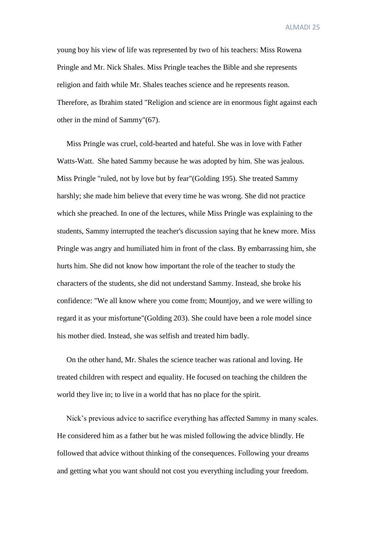young boy his view of life was represented by two of his teachers: Miss Rowena Pringle and Mr. Nick Shales. Miss Pringle teaches the Bible and she represents religion and faith while Mr. Shales teaches science and he represents reason. Therefore, as Ibrahim stated "Religion and science are in enormous fight against each other in the mind of Sammy"(67).

 Miss Pringle was cruel, cold-hearted and hateful. She was in love with Father Watts-Watt. She hated Sammy because he was adopted by him. She was jealous. Miss Pringle "ruled, not by love but by fear"(Golding 195). She treated Sammy harshly; she made him believe that every time he was wrong. She did not practice which she preached. In one of the lectures, while Miss Pringle was explaining to the students, Sammy interrupted the teacher's discussion saying that he knew more. Miss Pringle was angry and humiliated him in front of the class. By embarrassing him, she hurts him. She did not know how important the role of the teacher to study the characters of the students, she did not understand Sammy. Instead, she broke his confidence: "We all know where you come from; Mountjoy, and we were willing to regard it as your misfortune"(Golding 203). She could have been a role model since his mother died. Instead, she was selfish and treated him badly.

 On the other hand, Mr. Shales the science teacher was rational and loving. He treated children with respect and equality. He focused on teaching the children the world they live in; to live in a world that has no place for the spirit.

 Nick's previous advice to sacrifice everything has affected Sammy in many scales. He considered him as a father but he was misled following the advice blindly. He followed that advice without thinking of the consequences. Following your dreams and getting what you want should not cost you everything including your freedom.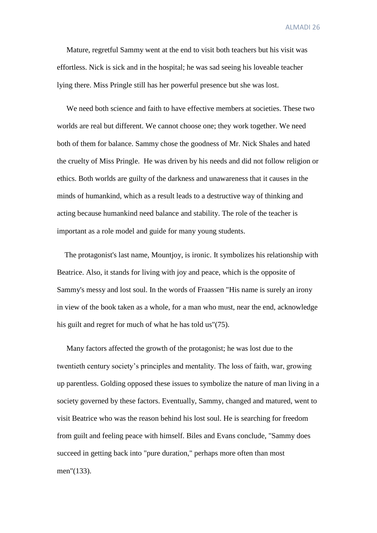Mature, regretful Sammy went at the end to visit both teachers but his visit was effortless. Nick is sick and in the hospital; he was sad seeing his loveable teacher lying there. Miss Pringle still has her powerful presence but she was lost.

 We need both science and faith to have effective members at societies. These two worlds are real but different. We cannot choose one; they work together. We need both of them for balance. Sammy chose the goodness of Mr. Nick Shales and hated the cruelty of Miss Pringle. He was driven by his needs and did not follow religion or ethics. Both worlds are guilty of the darkness and unawareness that it causes in the minds of humankind, which as a result leads to a destructive way of thinking and acting because humankind need balance and stability. The role of the teacher is important as a role model and guide for many young students.

 The protagonist's last name, Mountjoy, is ironic. It symbolizes his relationship with Beatrice. Also, it stands for living with joy and peace, which is the opposite of Sammy's messy and lost soul. In the words of Fraassen "His name is surely an irony in view of the book taken as a whole, for a man who must, near the end, acknowledge his guilt and regret for much of what he has told us"(75).

 Many factors affected the growth of the protagonist; he was lost due to the twentieth century society's principles and mentality. The loss of faith, war, growing up parentless. Golding opposed these issues to symbolize the nature of man living in a society governed by these factors. Eventually, Sammy, changed and matured, went to visit Beatrice who was the reason behind his lost soul. He is searching for freedom from guilt and feeling peace with himself. Biles and Evans conclude, "Sammy does succeed in getting back into "pure duration," perhaps more often than most men"(133).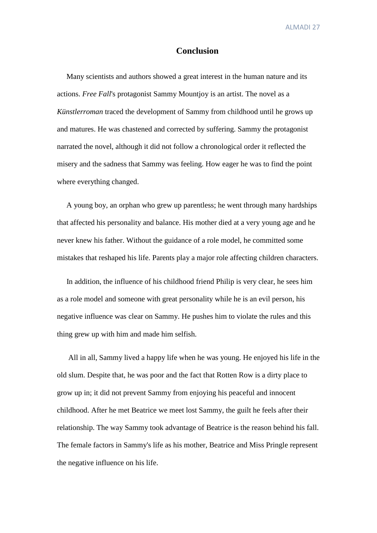#### **Conclusion**

 Many scientists and authors showed a great interest in the human nature and its actions. *Free Fall*'s protagonist Sammy Mountjoy is an artist. The novel as a *Künstlerroman* traced the development of Sammy from childhood until he grows up and matures. He was chastened and corrected by suffering. Sammy the protagonist narrated the novel, although it did not follow a chronological order it reflected the misery and the sadness that Sammy was feeling. How eager he was to find the point where everything changed.

 A young boy, an orphan who grew up parentless; he went through many hardships that affected his personality and balance. His mother died at a very young age and he never knew his father. Without the guidance of a role model, he committed some mistakes that reshaped his life. Parents play a major role affecting children characters.

 In addition, the influence of his childhood friend Philip is very clear, he sees him as a role model and someone with great personality while he is an evil person, his negative influence was clear on Sammy. He pushes him to violate the rules and this thing grew up with him and made him selfish.

 All in all, Sammy lived a happy life when he was young. He enjoyed his life in the old slum. Despite that, he was poor and the fact that Rotten Row is a dirty place to grow up in; it did not prevent Sammy from enjoying his peaceful and innocent childhood. After he met Beatrice we meet lost Sammy, the guilt he feels after their relationship. The way Sammy took advantage of Beatrice is the reason behind his fall. The female factors in Sammy's life as his mother, Beatrice and Miss Pringle represent the negative influence on his life.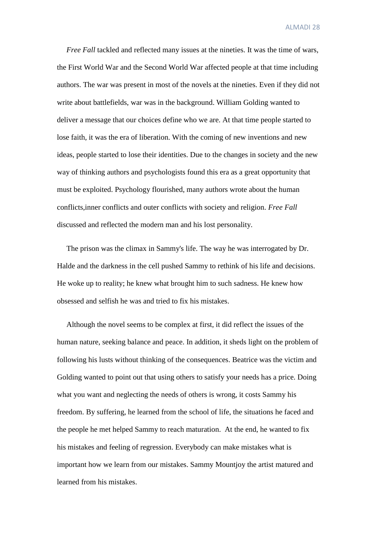*Free Fall* tackled and reflected many issues at the nineties. It was the time of wars, the First World War and the Second World War affected people at that time including authors. The war was present in most of the novels at the nineties. Even if they did not write about battlefields, war was in the background. William Golding wanted to deliver a message that our choices define who we are. At that time people started to lose faith, it was the era of liberation. With the coming of new inventions and new ideas, people started to lose their identities. Due to the changes in society and the new way of thinking authors and psychologists found this era as a great opportunity that must be exploited. Psychology flourished, many authors wrote about the human conflicts,inner conflicts and outer conflicts with society and religion. *Free Fall* discussed and reflected the modern man and his lost personality.

 The prison was the climax in Sammy's life. The way he was interrogated by Dr. Halde and the darkness in the cell pushed Sammy to rethink of his life and decisions. He woke up to reality; he knew what brought him to such sadness. He knew how obsessed and selfish he was and tried to fix his mistakes.

 Although the novel seems to be complex at first, it did reflect the issues of the human nature, seeking balance and peace. In addition, it sheds light on the problem of following his lusts without thinking of the consequences. Beatrice was the victim and Golding wanted to point out that using others to satisfy your needs has a price. Doing what you want and neglecting the needs of others is wrong, it costs Sammy his freedom. By suffering, he learned from the school of life, the situations he faced and the people he met helped Sammy to reach maturation. At the end, he wanted to fix his mistakes and feeling of regression. Everybody can make mistakes what is important how we learn from our mistakes. Sammy Mountjoy the artist matured and learned from his mistakes.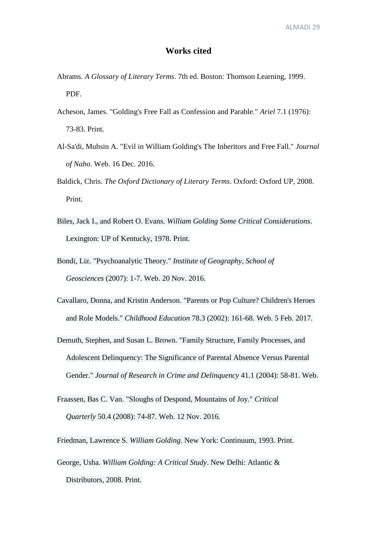### **Works cited**

- Abrams. *A Glossary of Literary Terms*. 7th ed. Boston: Thomson Learning, 1999. PDF.
- Acheson, James. "Golding's Free Fall as Confession and Parable." *Ariel* 7.1 (1976): 73-83. Print.
- Al-Sa'di, Muhsin A. "Evil in William Golding's The Inheritors and Free Fall." *Journal of Nabo*. Web. 16 Dec. 2016.
- Baldick, Chris. *The Oxford Dictionary of Literary Terms*. Oxford: Oxford UP, 2008. Print.
- Biles, Jack I., and Robert O. Evans. *William Golding Some Critical Considerations*. Lexington: UP of Kentucky, 1978. Print.
- Bondi, Liz. "Psychoanalytic Theory." *Institute of Geography, School of Geosciences* (2007): 1-7. Web. 20 Nov. 2016.
- Cavallaro, Donna, and Kristin Anderson. "Parents or Pop Culture? Children's Heroes and Role Models." *Childhood Education* 78.3 (2002): 161-68. Web. 5 Feb. 2017.
- Demuth, Stephen, and Susan L. Brown. "Family Structure, Family Processes, and Adolescent Delinquency: The Significance of Parental Absence Versus Parental Gender." *Journal of Research in Crime and Delinquency* 41.1 (2004): 58-81. Web.
- Fraassen, Bas C. Van. "Sloughs of Despond, Mountains of Joy." *Critical Quarterly* 50.4 (2008): 74-87. Web. 12 Nov. 2016.
- Friedman, Lawrence S. *William Golding*. New York: Continuum, 1993. Print.
- George, Usha. *William Golding: A Critical Study*. New Delhi: Atlantic & Distributors, 2008. Print.